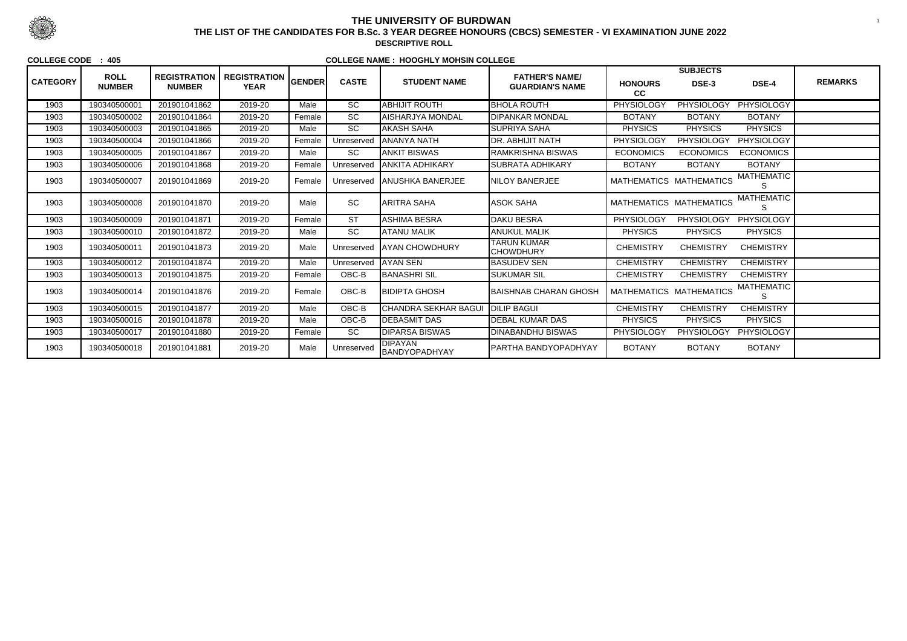|                 | <b>ROLL</b>   | <b>REGISTRATION</b> |                                    |               |                 |                                 | <b>FATHER'S NAME/</b>                  |                         | <b>SUBJECTS</b>   |                        |                |
|-----------------|---------------|---------------------|------------------------------------|---------------|-----------------|---------------------------------|----------------------------------------|-------------------------|-------------------|------------------------|----------------|
| <b>CATEGORY</b> | <b>NUMBER</b> | <b>NUMBER</b>       | <b>REGISTRATION</b><br><b>YEAR</b> | <b>GENDER</b> | <b>CASTE</b>    | <b>STUDENT NAME</b>             | <b>GUARDIAN'S NAME</b>                 | <b>HONOURS</b><br>cc    | DSE-3             | DSE-4                  | <b>REMARKS</b> |
| 1903            | 190340500001  | 201901041862        | 2019-20                            | Male          | $\overline{SC}$ | <b>ABHIJIT ROUTH</b>            | <b>BHOLA ROUTH</b>                     | <b>PHYSIOLOGY</b>       | <b>PHYSIOLOGY</b> | <b>PHYSIOLOGY</b>      |                |
| 1903            | 190340500002  | 201901041864        | 2019-20                            | Female        | SC              | AISHARJYA MONDAL                | <b>DIPANKAR MONDAL</b>                 | <b>BOTANY</b>           | <b>BOTANY</b>     | <b>BOTANY</b>          |                |
| 1903            | 190340500003  | 201901041865        | 2019-20                            | Male          | <b>SC</b>       | <b>AKASH SAHA</b>               | <b>SUPRIYA SAHA</b>                    | <b>PHYSICS</b>          | <b>PHYSICS</b>    | <b>PHYSICS</b>         |                |
| 1903            | 190340500004  | 201901041866        | 2019-20                            | Female        | Unreservec      | <b>JANANYA NATH</b>             | <b>DR. ABHIJIT NATH</b>                | <b>PHYSIOLOGY</b>       | <b>PHYSIOLOGY</b> | PHYSIOLOGY             |                |
| 1903            | 190340500005  | 201901041867        | 2019-20                            | Male          | <b>SC</b>       | ANKIT BISWAS                    | <b>RAMKRISHNA BISWAS</b>               | <b>ECONOMICS</b>        | <b>ECONOMICS</b>  | <b>ECONOMICS</b>       |                |
| 1903            | 190340500006  | 201901041868        | 2019-20                            | Female        | Unreserved      | <b>ANKITA ADHIKARY</b>          | <b>SUBRATA ADHIKARY</b>                | <b>BOTANY</b>           | <b>BOTANY</b>     | <b>BOTANY</b>          |                |
| 1903            | 190340500007  | 201901041869        | 2019-20                            | Female        | Unreserved      | <b>ANUSHKA BANERJEE</b>         | <b>NILOY BANERJEE</b>                  | MATHEMATICS MATHEMATICS |                   | <b>MATHEMATIC</b>      |                |
| 1903            | 190340500008  | 201901041870        | 2019-20                            | Male          | <b>SC</b>       | <b>ARITRA SAHA</b>              | <b>ASOK SAHA</b>                       | MATHEMATICS MATHEMATICS |                   | <b>MATHEMATIC</b><br>S |                |
| 1903            | 190340500009  | 201901041871        | 2019-20                            | Female        | <b>ST</b>       | ASHIMA BESRA                    | <b>DAKU BESRA</b>                      | PHYSIOLOGY              | <b>PHYSIOLOGY</b> | PHYSIOLOGY             |                |
| 1903            | 190340500010  | 201901041872        | 2019-20                            | Male          | <b>SC</b>       | ATANU MALIK                     | <b>ANUKUL MALIK</b>                    | <b>PHYSICS</b>          | <b>PHYSICS</b>    | <b>PHYSICS</b>         |                |
| 1903            | 190340500011  | 201901041873        | 2019-20                            | Male          | Unreserved      | <b>JAYAN CHOWDHURY</b>          | <b>TARUN KUMAR</b><br><b>CHOWDHURY</b> | <b>CHEMISTRY</b>        | <b>CHEMISTRY</b>  | <b>CHEMISTRY</b>       |                |
| 1903            | 190340500012  | 201901041874        | 2019-20                            | Male          | Unreserved      | <b>AYAN SEN</b>                 | <b>BASUDEV SEN</b>                     | <b>CHEMISTRY</b>        | <b>CHEMISTRY</b>  | <b>CHEMISTRY</b>       |                |
| 1903            | 190340500013  | 201901041875        | 2019-20                            | Female        | OBC-B           | <b>BANASHRISIL</b>              | <b>SUKUMAR SIL</b>                     | <b>CHEMISTRY</b>        | <b>CHEMISTRY</b>  | <b>CHEMISTRY</b>       |                |
| 1903            | 190340500014  | 201901041876        | 2019-20                            | Female        | OBC-B           | <b>BIDIPTA GHOSH</b>            | BAISHNAB CHARAN GHOSH                  | MATHEMATICS MATHEMATICS |                   | <b>MATHEMATIC</b><br>S |                |
| 1903            | 190340500015  | 201901041877        | 2019-20                            | Male          | OBC-B           | <b>CHANDRA SEKHAR BAGUI</b>     | <b>DILIP BAGUI</b>                     | <b>CHEMISTRY</b>        | <b>CHEMISTRY</b>  | <b>CHEMISTRY</b>       |                |
| 1903            | 190340500016  | 201901041878        | 2019-20                            | Male          | OBC-B           | <b>DEBASMIT DAS</b>             | <b>DEBAL KUMAR DAS</b>                 | <b>PHYSICS</b>          | <b>PHYSICS</b>    | <b>PHYSICS</b>         |                |
| 1903            | 190340500017  | 201901041880        | 2019-20                            | Female        | <b>SC</b>       | <b>DIPARSA BISWAS</b>           | <b>DINABANDHU BISWAS</b>               | <b>PHYSIOLOGY</b>       | <b>PHYSIOLOGY</b> | PHYSIOLOGY             |                |
| 1903            | 190340500018  | 201901041881        | 2019-20                            | Male          | Unreserved      | <b>DIPAYAN</b><br>BANDYOPADHYAY | PARTHA BANDYOPADHYAY                   | <b>BOTANY</b>           | <b>BOTANY</b>     | <b>BOTANY</b>          |                |



## **THE UNIVERSITY OF BURDWAN**<sup>1</sup> **THE LIST OF THE CANDIDATES FOR B.Sc. 3 YEAR DEGREE HONOURS (CBCS) SEMESTER - VI EXAMINATION JUNE 2022**

**DESCRIPTIVE ROLL**

### **COLLEGE CODE : 405**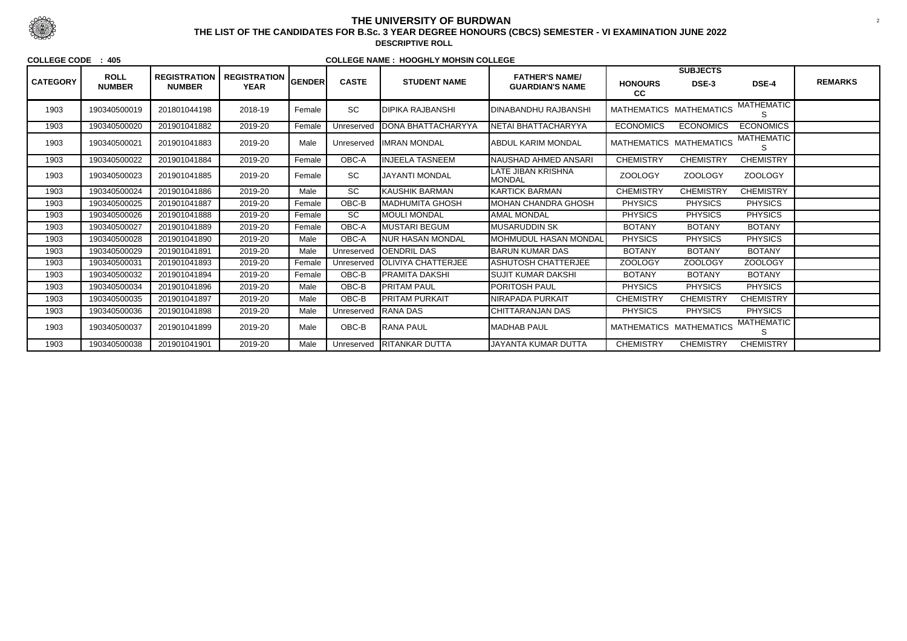|                 | <b>ROLL</b><br><b>NUMBER</b> | <b>REGISTRATION</b> |                                    |        |              |                            | <b>FATHER'S NAME/</b>               |                         | <b>SUBJECTS</b>  |                         | <b>REMARKS</b> |
|-----------------|------------------------------|---------------------|------------------------------------|--------|--------------|----------------------------|-------------------------------------|-------------------------|------------------|-------------------------|----------------|
| <b>CATEGORY</b> |                              | <b>NUMBER</b>       | <b>REGISTRATION</b><br><b>YEAR</b> | GENDER | <b>CASTE</b> | <b>STUDENT NAME</b>        | <b>GUARDIAN'S NAME</b>              | <b>HONOURS</b><br>cc    | DSE-3            | DSE-4                   |                |
| 1903            | 190340500019                 | 201801044198        | 2018-19                            | Female | <b>SC</b>    | <b>DIPIKA RAJBANSHI</b>    | DINABANDHU RAJBANSHI                | MATHEMATICS MATHEMATICS |                  | <b>MATHEMATIC</b>       |                |
| 1903            | 190340500020                 | 201901041882        | 2019-20                            | Female | Unreserved   | <b>IDONA BHATTACHARYYA</b> | NETAI BHATTACHARYYA                 | <b>ECONOMICS</b>        | <b>ECONOMICS</b> | <b>ECONOMICS</b>        |                |
| 1903            | 190340500021                 | 201901041883        | 2019-20                            | Male   | Unreserved   | <b>IIMRAN MONDAL</b>       | IABDUL KARIM MONDAL                 | MATHEMATICS MATHEMATICS |                  | <b>MATHEMATIC</b><br>S. |                |
| 1903            | 190340500022                 | 201901041884        | 2019-20                            | Female | OBC-A        | <b>INJEELA TASNEEM</b>     | NAUSHAD AHMED ANSARI                | <b>CHEMISTRY</b>        | <b>CHEMISTRY</b> | <b>CHEMISTRY</b>        |                |
| 1903            | 190340500023                 | 201901041885        | 2019-20                            | Female | SC           | <b>JAYANTI MONDAL</b>      | LATE JIBAN KRISHNA<br><b>MONDAL</b> | <b>ZOOLOGY</b>          | <b>ZOOLOGY</b>   | <b>ZOOLOGY</b>          |                |
| 1903            | 190340500024                 | 201901041886        | 2019-20                            | Male   | SC           | KAUSHIK BARMAN             | <b>KARTICK BARMAN</b>               | <b>CHEMISTRY</b>        | <b>CHEMISTRY</b> | <b>CHEMISTRY</b>        |                |
| 1903            | 190340500025                 | 201901041887        | 2019-20                            | Female | OBC-B        | MADHUMITA GHOSH            | MOHAN CHANDRA GHOSH                 | <b>PHYSICS</b>          | <b>PHYSICS</b>   | <b>PHYSICS</b>          |                |
| 1903            | 190340500026                 | 201901041888        | 2019-20                            | Female | SC           | <b>IMOULI MONDAL</b>       | <b>AMAL MONDAL</b>                  | <b>PHYSICS</b>          | <b>PHYSICS</b>   | <b>PHYSICS</b>          |                |
| 1903            | 190340500027                 | 201901041889        | 2019-20                            | Female | OBC-A        | <b>MUSTARI BEGUM</b>       | <b>MUSARUDDIN SK</b>                | <b>BOTANY</b>           | <b>BOTANY</b>    | <b>BOTANY</b>           |                |
| 1903            | 190340500028                 | 201901041890        | 2019-20                            | Male   | OBC-A        | NUR HASAN MONDAL           | <b>MOHMUDUL HASAN MONDAL</b>        | <b>PHYSICS</b>          | <b>PHYSICS</b>   | <b>PHYSICS</b>          |                |
| 1903            | 190340500029                 | 201901041891        | 2019-20                            | Male   | Unreserved   | <b>JOENDRIL DAS</b>        | <b>BARUN KUMAR DAS</b>              | <b>BOTANY</b>           | <b>BOTANY</b>    | <b>BOTANY</b>           |                |
| 1903            | 190340500031                 | 201901041893        | 2019-20                            | Female | Unreserved   | <b>OLIVIYA CHATTERJEE</b>  | <b>ASHUTOSH CHATTERJEE</b>          | <b>ZOOLOGY</b>          | <b>ZOOLOGY</b>   | <b>ZOOLOGY</b>          |                |
| 1903            | 190340500032                 | 201901041894        | 2019-20                            | Female | OBC-B        | PRAMITA DAKSHI             | SUJIT KUMAR DAKSHI                  | <b>BOTANY</b>           | <b>BOTANY</b>    | <b>BOTANY</b>           |                |
| 1903            | 190340500034                 | 201901041896        | 2019-20                            | Male   | OBC-B        | <b>PRITAM PAUL</b>         | PORITOSH PAUL                       | <b>PHYSICS</b>          | <b>PHYSICS</b>   | <b>PHYSICS</b>          |                |
| 1903            | 190340500035                 | 201901041897        | 2019-20                            | Male   | OBC-B        | IPRITAM PURKAIT            | NIRAPADA PURKAIT                    | <b>CHEMISTRY</b>        | <b>CHEMISTRY</b> | <b>CHEMISTRY</b>        |                |
| 1903            | 190340500036                 | 201901041898        | 2019-20                            | Male   | Unreserved   | RANA DAS                   | <b>CHITTARANJAN DAS</b>             | <b>PHYSICS</b>          | <b>PHYSICS</b>   | <b>PHYSICS</b>          |                |
| 1903            | 190340500037                 | 201901041899        | 2019-20                            | Male   | OBC-B        | <b>RANA PAUL</b>           | IMADHAB PAUL                        | MATHEMATICS MATHEMATICS |                  | <b>MATHEMATIC</b>       |                |
| 1903            | 190340500038                 | 201901041901        | 2019-20                            | Male   | Unreserved   | <b>RITANKAR DUTTA</b>      | JAYANTA KUMAR DUTTA                 | <b>CHEMISTRY</b>        | <b>CHEMISTRY</b> | <b>CHEMISTRY</b>        |                |



# **THE UNIVERSITY OF BURDWAN**

 <sup>2</sup> **THE LIST OF THE CANDIDATES FOR B.Sc. 3 YEAR DEGREE HONOURS (CBCS) SEMESTER - VI EXAMINATION JUNE 2022DESCRIPTIVE ROLL**

**COLLEGE CODE : 405**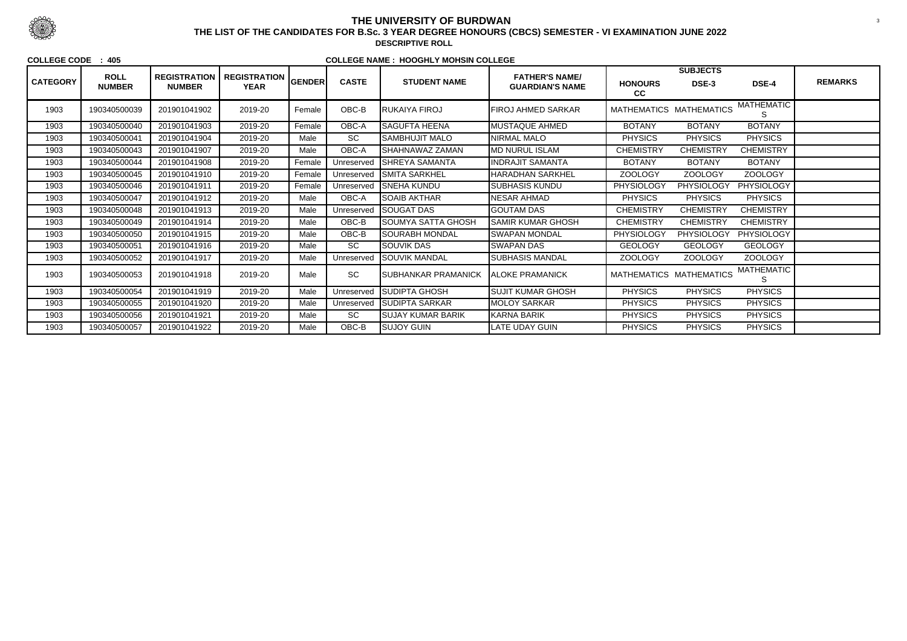| <b>CATEGORY</b> | <b>ROLL</b><br><b>NUMBER</b> | <b>REGISTRATION</b><br><b>NUMBER</b> |                                           |        | <b>CASTE</b> | <b>STUDENT NAME</b>         | <b>FATHER'S NAME/</b><br><b>GUARDIAN'S NAME</b> |                         | <b>SUBJECTS</b>   |                         | <b>REMARKS</b> |
|-----------------|------------------------------|--------------------------------------|-------------------------------------------|--------|--------------|-----------------------------|-------------------------------------------------|-------------------------|-------------------|-------------------------|----------------|
|                 |                              |                                      | <b>REGISTRATION</b> GENDER<br><b>YEAR</b> |        |              |                             |                                                 | <b>HONOURS</b><br>cc    | DSE-3             | DSE-4                   |                |
| 1903            | 190340500039                 | 201901041902                         | 2019-20                                   | Female | OBC-B        | <b>RUKAIYA FIROJ</b>        | <b>FIROJ AHMED SARKAR</b>                       | MATHEMATICS MATHEMATICS |                   | <b>MATHEMATIC</b><br>S  |                |
| 1903            | 190340500040                 | 201901041903                         | 2019-20                                   | Female | OBC-A        | <b>SAGUFTA HEENA</b>        | MUSTAQUE AHMED                                  | <b>BOTANY</b>           | <b>BOTANY</b>     | <b>BOTANY</b>           |                |
| 1903            | 190340500041                 | 201901041904                         | 2019-20                                   | Male   | <b>SC</b>    | SAMBHUJIT MALO              | <b>NIRMAL MALO</b>                              | <b>PHYSICS</b>          | <b>PHYSICS</b>    | <b>PHYSICS</b>          |                |
| 1903            | 190340500043                 | 201901041907                         | 2019-20                                   | Male   | OBC-A        | SHAHNAWAZ ZAMAN             | <b>MD NURUL ISLAM</b>                           | <b>CHEMISTRY</b>        | <b>CHEMISTRY</b>  | <b>CHEMISTRY</b>        |                |
| 1903            | 190340500044                 | 201901041908                         | 2019-20                                   | Female | Unreserved   | <b>SHREYA SAMANTA</b>       | <b>INDRAJIT SAMANTA</b>                         | <b>BOTANY</b>           | <b>BOTANY</b>     | <b>BOTANY</b>           |                |
| 1903            | 190340500045                 | 201901041910                         | 2019-20                                   | Female | Unreserved   | <b>ISMITA SARKHEL</b>       | HARADHAN SARKHEL                                | <b>ZOOLOGY</b>          | <b>ZOOLOGY</b>    | <b>ZOOLOGY</b>          |                |
| 1903            | 190340500046                 | 201901041911                         | 2019-20                                   | Female | Unreserved   | <b>SNEHA KUNDU</b>          | <b>SUBHASIS KUNDU</b>                           | PHYSIOLOGY              | <b>PHYSIOLOGY</b> | PHYSIOLOGY              |                |
| 1903            | 190340500047                 | 201901041912                         | 2019-20                                   | Male   | OBC-A        | SOAIB AKTHAR                | NESAR AHMAD                                     | <b>PHYSICS</b>          | <b>PHYSICS</b>    | <b>PHYSICS</b>          |                |
| 1903            | 190340500048                 | 201901041913                         | 2019-20                                   | Male   | Unreserved   | <b>SOUGAT DAS</b>           | <b>GOUTAM DAS</b>                               | <b>CHEMISTRY</b>        | <b>CHEMISTRY</b>  | <b>CHEMISTRY</b>        |                |
| 1903            | 190340500049                 | 201901041914                         | 2019-20                                   | Male   | OBC-B        | <b>SOUMYA SATTA GHOSH</b>   | <b>SAMIR KUMAR GHOSH</b>                        | <b>CHEMISTRY</b>        | <b>CHEMISTRY</b>  | <b>CHEMISTRY</b>        |                |
| 1903            | 190340500050                 | 201901041915                         | 2019-20                                   | Male   | OBC-B        | SOURABH MONDAL              | <b>SWAPAN MONDAL</b>                            | PHYSIOLOGY              | <b>PHYSIOLOGY</b> | <b>PHYSIOLOGY</b>       |                |
| 1903            | 190340500051                 | 201901041916                         | 2019-20                                   | Male   | SC           | SOUVIK DAS                  | <b>SWAPAN DAS</b>                               | <b>GEOLOGY</b>          | <b>GEOLOGY</b>    | <b>GEOLOGY</b>          |                |
| 1903            | 190340500052                 | 201901041917                         | 2019-20                                   | Male   | Unreserved   | <b>I</b> SOUVIK MANDAL      | SUBHASIS MANDAL                                 | <b>ZOOLOGY</b>          | <b>ZOOLOGY</b>    | <b>ZOOLOGY</b>          |                |
| 1903            | 190340500053                 | 201901041918                         | 2019-20                                   | Male   | SC           | <b>ISUBHANKAR PRAMANICK</b> | IALOKE PRAMANICK                                | MATHEMATICS MATHEMATICS |                   | <b>MATHEMATIC</b><br>S. |                |
| 1903            | 190340500054                 | 201901041919                         | 2019-20                                   | Male   | Unreserved   | SUDIPTA GHOSH               | SUJIT KUMAR GHOSH                               | <b>PHYSICS</b>          | <b>PHYSICS</b>    | <b>PHYSICS</b>          |                |
| 1903            | 190340500055                 | 201901041920                         | 2019-20                                   | Male   | Unreserved   | <b>SUDIPTA SARKAR</b>       | <b>MOLOY SARKAR</b>                             | <b>PHYSICS</b>          | <b>PHYSICS</b>    | <b>PHYSICS</b>          |                |
| 1903            | 190340500056                 | 201901041921                         | 2019-20                                   | Male   | SC           | <b>SUJAY KUMAR BARIK</b>    | <b>KARNA BARIK</b>                              | <b>PHYSICS</b>          | <b>PHYSICS</b>    | <b>PHYSICS</b>          |                |
| 1903            | 190340500057                 | 201901041922                         | 2019-20                                   | Male   | OBC-B        | <b>ISUJOY GUIN</b>          | LATE UDAY GUIN                                  | <b>PHYSICS</b>          | <b>PHYSICS</b>    | <b>PHYSICS</b>          |                |



## **THE UNIVERSITY OF BURDWAN**<sup>3</sup> **THE LIST OF THE CANDIDATES FOR B.Sc. 3 YEAR DEGREE HONOURS (CBCS) SEMESTER - VI EXAMINATION JUNE 2022**

**DESCRIPTIVE ROLL**

#### **COLLEGE CODE : 405**